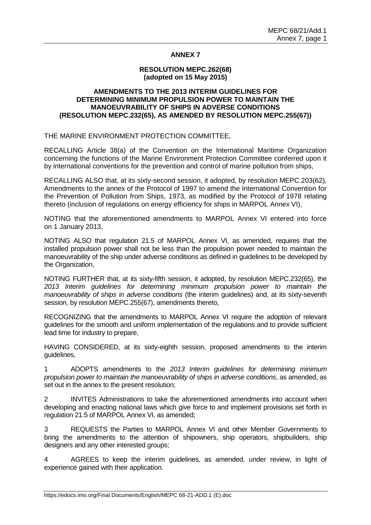# **ANNEX 7**

#### **RESOLUTION MEPC.262(68) (adopted on 15 May 2015)**

### **AMENDMENTS TO THE 2013 INTERIM GUIDELINES FOR DETERMINING MINIMUM PROPULSION POWER TO MAINTAIN THE MANOEUVRABILITY OF SHIPS IN ADVERSE CONDITIONS (RESOLUTION MEPC.232(65), AS AMENDED BY RESOLUTION MEPC.255(67))**

THE MARINE ENVIRONMENT PROTECTION COMMITTEE,

RECALLING Article 38(a) of the Convention on the International Maritime Organization concerning the functions of the Marine Environment Protection Committee conferred upon it by international conventions for the prevention and control of marine pollution from ships,

RECALLING ALSO that, at its sixty-second session, it adopted, by resolution MEPC.203(62), Amendments to the annex of the Protocol of 1997 to amend the International Convention for the Prevention of Pollution from Ships, 1973, as modified by the Protocol of 1978 relating thereto (inclusion of regulations on energy efficiency for ships in MARPOL Annex VI),

NOTING that the aforementioned amendments to MARPOL Annex VI entered into force on 1 January 2013,

NOTING ALSO that regulation 21.5 of MARPOL Annex VI, as amended, requires that the installed propulsion power shall not be less than the propulsion power needed to maintain the manoeuvrability of the ship under adverse conditions as defined in guidelines to be developed by the Organization,

NOTING FURTHER that, at its sixty-fifth session, it adopted, by resolution MEPC.232(65), the *2013 Interim guidelines for determining minimum propulsion power to maintain the manoeuvrability of ships in adverse conditions* (the interim guidelines) and, at its sixty-seventh session, by resolution MEPC.255(67), amendments thereto,

RECOGNIZING that the amendments to MARPOL Annex VI require the adoption of relevant guidelines for the smooth and uniform implementation of the regulations and to provide sufficient lead time for industry to prepare,

HAVING CONSIDERED, at its sixty-eighth session, proposed amendments to the interim guidelines,

1 ADOPTS amendments to the *2013 Interim guidelines for determining minimum propulsion power to maintain the manoeuvrability of ships in adverse conditions*, as amended, as set out in the annex to the present resolution;

2 INVITES Administrations to take the aforementioned amendments into account when developing and enacting national laws which give force to and implement provisions set forth in regulation 21.5 of MARPOL Annex VI, as amended;

3 REQUESTS the Parties to MARPOL Annex VI and other Member Governments to bring the amendments to the attention of shipowners, ship operators, shipbuilders, ship designers and any other interested groups;

4 AGREES to keep the interim guidelines*,* as amended, under review, in light of experience gained with their application.